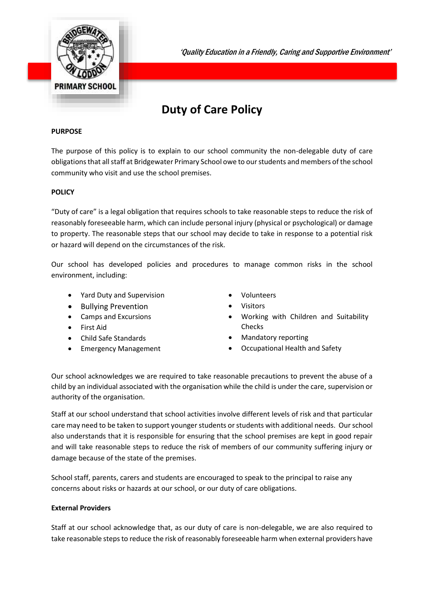

'Quality Education in a Friendly, Caring and Supportive Environment'

# **Duty of Care Policy**

### **PURPOSE**

The purpose of this policy is to explain to our school community the non-delegable duty of care obligations that all staff at Bridgewater Primary School owe to our students and members of the school community who visit and use the school premises.

#### **POLICY**

"Duty of care" is a legal obligation that requires schools to take reasonable steps to reduce the risk of reasonably foreseeable harm, which can include personal injury (physical or psychological) or damage to property. The reasonable steps that our school may decide to take in response to a potential risk or hazard will depend on the circumstances of the risk.

Our school has developed policies and procedures to manage common risks in the school environment, including:

- Yard Duty and Supervision
- Bullying Prevention
- Camps and Excursions
- First Aid
- Child Safe Standards
- Emergency Management
- Volunteers
- Visitors
- Working with Children and Suitability Checks
- Mandatory reporting
- Occupational Health and Safety

Our school acknowledges we are required to take reasonable precautions to prevent the abuse of a child by an individual associated with the organisation while the child is under the care, supervision or authority of the organisation.

Staff at our school understand that school activities involve different levels of risk and that particular care may need to be taken to support younger students or students with additional needs. Our school also understands that it is responsible for ensuring that the school premises are kept in good repair and will take reasonable steps to reduce the risk of members of our community suffering injury or damage because of the state of the premises.

School staff, parents, carers and students are encouraged to speak to the principal to raise any concerns about risks or hazards at our school, or our duty of care obligations.

#### **External Providers**

Staff at our school acknowledge that, as our duty of care is non-delegable, we are also required to take reasonable steps to reduce the risk of reasonably foreseeable harm when external providers have